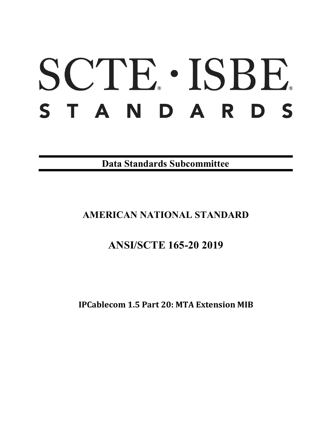# SCTE · ISBE. STANDARDS

**Data Standards Subcommittee**

**AMERICAN NATIONAL STANDARD**

# **ANSI/SCTE 165-20 2019**

**IPCablecom 1.5 Part 20: MTA Extension MIB**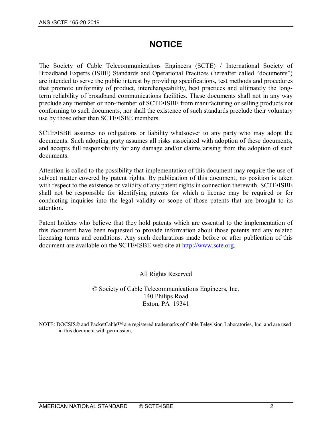# **NOTICE**

The Society of Cable Telecommunications Engineers (SCTE) / International Society of Broadband Experts (ISBE) Standards and Operational Practices (hereafter called "documents") are intended to serve the public interest by providing specifications, test methods and procedures that promote uniformity of product, interchangeability, best practices and ultimately the longterm reliability of broadband communications facilities. These documents shall not in any way preclude any member or non-member of SCTE•ISBE from manufacturing or selling products not conforming to such documents, nor shall the existence of such standards preclude their voluntary use by those other than SCTE•ISBE members.

SCTE•ISBE assumes no obligations or liability whatsoever to any party who may adopt the documents. Such adopting party assumes all risks associated with adoption of these documents, and accepts full responsibility for any damage and/or claims arising from the adoption of such documents.

Attention is called to the possibility that implementation of this document may require the use of subject matter covered by patent rights. By publication of this document, no position is taken with respect to the existence or validity of any patent rights in connection therewith. SCTE•ISBE shall not be responsible for identifying patents for which a license may be required or for conducting inquiries into the legal validity or scope of those patents that are brought to its attention.

Patent holders who believe that they hold patents which are essential to the implementation of this document have been requested to provide information about those patents and any related licensing terms and conditions. Any such declarations made before or after publication of this document are available on the SCTE•ISBE web site at [http://www.scte.org.](http://www.scte.org/)

All Rights Reserved

© Society of Cable Telecommunications Engineers, Inc. 140 Philips Road Exton, PA 19341

NOTE: DOCSIS® and PacketCable™ are registered trademarks of Cable Television Laboratories, Inc. and are used in this document with permission.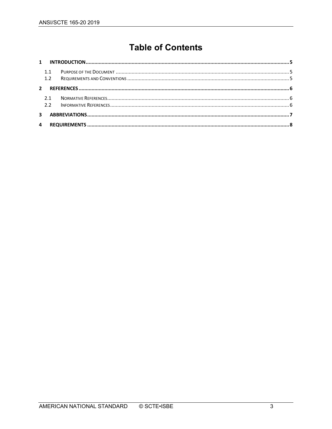# **Table of Contents**

|              | 1.1<br>1.2 |  |  |
|--------------|------------|--|--|
| $\mathbf{2}$ |            |  |  |
|              | 2.1        |  |  |
|              |            |  |  |
| 4            |            |  |  |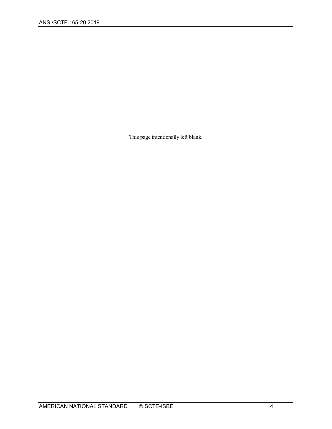This page intentionally left blank.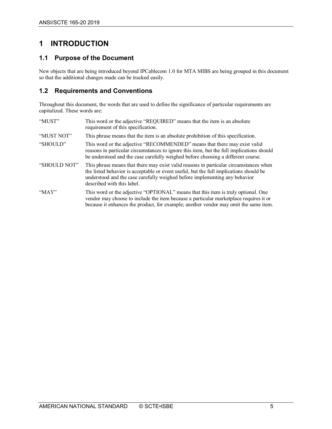# <span id="page-4-0"></span>**1 INTRODUCTION**

#### <span id="page-4-1"></span>**1.1 Purpose of the Document**

New objects that are being introduced beyond IPCablecom 1.0 for MTA MIBS are being grouped in this document so that the additional changes made can be tracked easily.

#### <span id="page-4-2"></span>**1.2 Requirements and Conventions**

Throughout this document, the words that are used to define the significance of particular requirements are capitalized. These words are:

| "MUST"       | This word or the adjective "REQUIRED" means that the item is an absolute<br>requirement of this specification.                                                                                                                                                                              |
|--------------|---------------------------------------------------------------------------------------------------------------------------------------------------------------------------------------------------------------------------------------------------------------------------------------------|
| "MUST NOT"   | This phrase means that the item is an absolute prohibition of this specification.                                                                                                                                                                                                           |
| "SHOULD"     | This word or the adjective "RECOMMENDED" means that there may exist valid<br>reasons in particular circumstances to ignore this item, but the full implications should<br>be understood and the case carefully weighed before choosing a different course.                                  |
| "SHOULD NOT" | This phrase means that there may exist valid reasons in particular circumstances when<br>the listed behavior is acceptable or event useful, but the full implications should be<br>understood and the case carefully weighed before implementing any behavior<br>described with this label. |
| " $MAX"$     | This word or the adjective "OPTIONAL" means that this item is truly optional. One<br>vendor may choose to include the item because a particular marketplace requires it or<br>because it enhances the product, for example; another vendor may omit the same item.                          |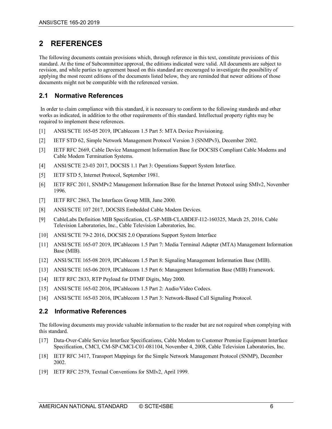# <span id="page-5-0"></span>**2 REFERENCES**

The following documents contain provisions which, through reference in this text, constitute provisions of this standard. At the time of Subcommittee approval, the editions indicated were valid. All documents are subject to revision, and while parties to agreement based on this standard are encouraged to investigate the possibility of applying the most recent editions of the documents listed below, they are reminded that newer editions of those documents might not be compatible with the referenced version.

#### <span id="page-5-1"></span>**2.1 Normative References**

In order to claim compliance with this standard, it is necessary to conform to the following standards and other works as indicated, in addition to the other requirements of this standard. Intellectual property rights may be required to implement these references.

- [1] ANSI/SCTE 165-05 2019, IPCablecom 1.5 Part 5: MTA Device Provisioning.
- [2] IETF STD 62, Simple Network Management Protocol Version 3 (SNMPv3), December 2002.
- [3] IETF RFC 2669, Cable Device Management Information Base for DOCSIS Compliant Cable Modems and Cable Modem Termination Systems.
- [4] ANSI/SCTE 23-03 2017, DOCSIS 1.1 Part 3: Operations Support System Interface.
- [5] IETF STD 5, Internet Protocol, September 1981.
- [6] IETF RFC 2011, SNMPv2 Management Information Base for the Internet Protocol using SMIv2, November 1996.
- [7] IETF RFC 2863, The Interfaces Group MIB, June 2000.
- [8] ANSI/SCTE 107 2017, DOCSIS Embedded Cable Modem Devices.
- [9] CableLabs Definition MIB Specification, CL-SP-MIB-CLABDEF-I12-160325, March 25, 2016, Cable Television Laboratories, Inc., Cable Television Laboratories, Inc.
- [10] ANSI/SCTE 79-2 2016, DOCSIS 2.0 Operations Support System Interface
- [11] ANSI/SCTE 165-07 2019, IPCablecom 1.5 Part 7: Media Terminal Adapter (MTA) Management Information Base (MIB).
- [12] ANSI/SCTE 165-08 2019, IPCablecom 1.5 Part 8: Signaling Management Information Base (MIB).
- [13] ANSI/SCTE 165-06 2019, IPCablecom 1.5 Part 6: Management Information Base (MIB) Framework.
- [14] IETF RFC 2833, RTP Payload for DTMF Digits, May 2000.
- [15] ANSI/SCTE 165-02 2016, IPCablecom 1.5 Part 2: Audio/Video Codecs.
- [16] ANSI/SCTE 165-03 2016, IPCablecom 1.5 Part 3: Network-Based Call Signaling Protocol.

#### <span id="page-5-2"></span>**2.2 Informative References**

The following documents may provide valuable information to the reader but are not required when complying with this standard.

- [17] Data-Over-Cable Service Interface Specifications, Cable Modem to Customer Premise Equipment Interface Specification, CMCI, CM-SP-CMCI-C01-081104, November 4, 2008, Cable Television Laboratories, Inc.
- [18] IETF RFC 3417, Transport Mappings for the Simple Network Management Protocol (SNMP), December 2002.
- [19] IETF RFC 2579, Textual Conventions for SMIv2, April 1999.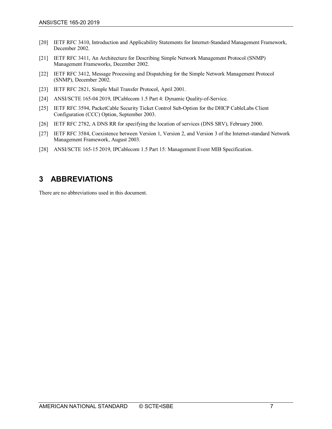- [20] IETF RFC 3410, Introduction and Applicability Statements for Internet-Standard Management Framework, December 2002.
- [21] IETF RFC 3411, An Architecture for Describing Simple Network Management Protocol (SNMP) Management Frameworks, December 2002.
- [22] IETF RFC 3412, Message Processing and Dispatching for the Simple Network Management Protocol (SNMP), December 2002.
- [23] IETF RFC 2821, Simple Mail Transfer Protocol, April 2001.
- [24] ANSI/SCTE 165-04 2019, IPCablecom 1.5 Part 4: Dynamic Quality-of-Service.
- [25] IETF RFC 3594, PacketCable Security Ticket Control Sub-Option for the DHCP CableLabs Client Configuration (CCC) Option, September 2003.
- [26] IETF RFC 2782, A DNS RR for specifying the location of services (DNS SRV), February 2000.
- [27] IETF RFC 3584, Coexistence between Version 1, Version 2, and Version 3 of the Internet-standard Network Management Framework, August 2003.
- [28] ANSI/SCTE 165-15 2019, IPCablecom 1.5 Part 15: Management Event MIB Specification.

### <span id="page-6-0"></span>**3 ABBREVIATIONS**

There are no abbreviations used in this document.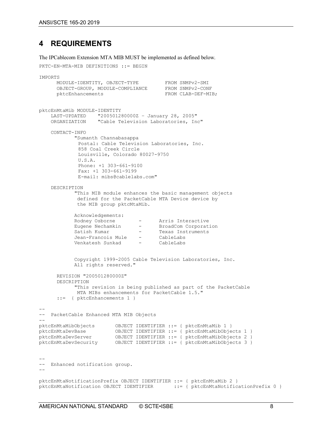## <span id="page-7-0"></span>**4 REQUIREMENTS**

The IPCablecom Extension MTA MIB MUST be implemented as defined below.

```
PKTC-EN-MTA-MIB DEFINITIONS ::= BEGIN
IMPORTS
       MODULE-IDENTITY, OBJECT-TYPE FROM SNMPv2-SMI
      OBJECT-GROUP, MODULE-COMPLIANCE
      pktcEnhancements FROM CLAB-DEF-MIB;
pktcEnMtaMib MODULE-IDENTITY
     LAST-UPDATED "200501280000Z – January 28, 2005"
     ORGANIZATION "Cable Television Laboratories, Inc"
     CONTACT-INFO
             "Sumanth Channabasappa
             Postal: Cable Television Laboratories, Inc.
             858 Coal Creek Circle
             Louisville, Colorado 80027-9750
             U.S.A.
             Phone: +1 303-661-9100
             Fax: +1 303-661-9199
             E-mail: mibs@cablelabs.com"
     DESCRIPTION
             "This MIB module enhances the basic management objects 
              defined for the PacketCable MTA Device device by 
              the MIB group pktcMtaMib.
            Acknowledgements:<br>Rodney Osborne
                                  - Arris Interactive<br>- BroadCom Corporation
            Rodney Vers<br>Eugene Nechamkin -<br>Satish Kumar -
                                   - Texas Instruments<br>- CableLabs
            Jean-Francois Mule - CableLabs<br>Venkatesh Sunkad - CableLabs
            Venkatesh Sunkad
             Copyright 1999-2005 Cable Television Laboratories, Inc.
             All rights reserved."
       REVISION "200501280000Z"
       DESCRIPTION
             "This revision is being published as part of the PacketCable
              MTA MIBs enhancements for PacketCable 1.5."
       ::= { pktcEnhancements 1 }
--
-- PacketCable Enhanced MTA MIB Objects
--
pktcEnMtaMibObjects OBJECT IDENTIFIER ::= { pktcEnMtaMib 1 }
pktcEnMtaDevBase OBJECT IDENTIFIER ::= { pktcEnMtaMibObjects 1 }
pktcEnMtaDevServer OBJECT IDENTIFIER ::= { pktcEnMtaMibObjects 2 }
pktcEnMtaDevSecurity OBJECT IDENTIFIER ::= { pktcEnMtaMibObjects 3 }
--
-- Enhanced notification group.
--
pktcEnMtaNotificationPrefix OBJECT IDENTIFIER ::= { pktcEnMtaMib 2 }
```
pktcEnMtaNotification OBJECT IDENTIFIER ::= { pktcEnMtaNotificationPrefix 0 }